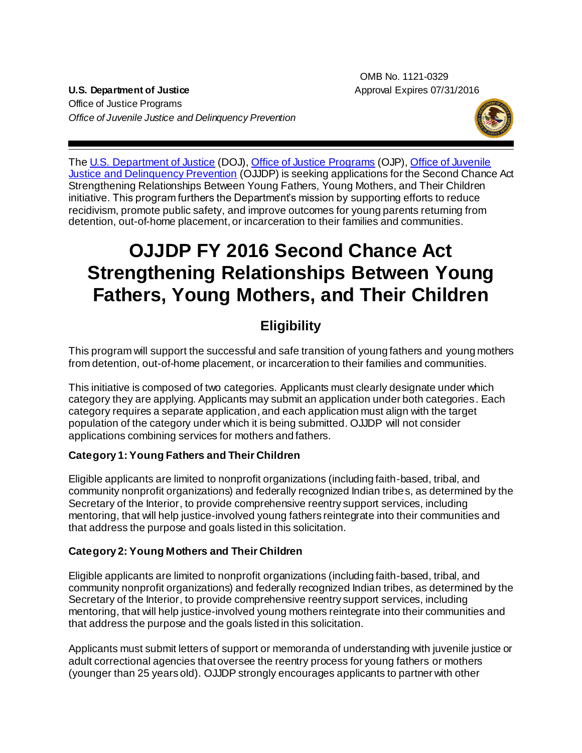OMB No. 1121-0329 **U.S. Department of Justice** Approval Expires 07/31/2016

Office of Justice Programs *Office of Juvenile Justice and Delinquency Prevention*



The [U.S. Department of Justice](http://www.usdoj.gov/) (DOJ), [Office of Justice Programs](http://www.ojp.usdoj.gov/) (OJP)[, Office of Juvenile](http://www.ojjdp.gov/)  [Justice and Delinquency Prevention](http://www.ojjdp.gov/) (OJJDP) is seeking applications for the Second Chance Act Strengthening Relationships Between Young Fathers, Young Mothers, and Their Children initiative. This program furthers the Department's mission by supporting efforts to reduce recidivism, promote public safety, and improve outcomes for young parents returning from detention, out-of-home placement, or incarceration to their families and communities.

# **OJJDP FY 2016 Second Chance Act Strengthening Relationships Between Young Fathers, Young Mothers, and Their Children**

# **Eligibility**

This program will support the successful and safe transition of young fathers and young mothers from detention, out-of-home placement, or incarceration to their families and communities.

This initiative is composed of two categories. Applicants must clearly designate under which category they are applying. Applicants may submit an application under both categories. Each category requires a separate application, and each application must align with the target population of the category under which it is being submitted. OJJDP will not consider applications combining services for mothers and fathers.

#### **Category 1: Young Fathers and Their Children**

Eligible applicants are limited to nonprofit organizations (including faith-based, tribal, and community nonprofit organizations) and federally recognized Indian tribes, as determined by the Secretary of the Interior, to provide comprehensive reentry support services, including mentoring, that will help justice-involved young fathers reintegrate into their communities and that address the purpose and goals listed in this solicitation.

#### **Category 2: Young Mothers and Their Children**

Eligible applicants are limited to nonprofit organizations (including faith-based, tribal, and community nonprofit organizations) and federally recognized Indian tribes, as determined by the Secretary of the Interior, to provide comprehensive reentry support services, including mentoring, that will help justice-involved young mothers reintegrate into their communities and that address the purpose and the goals listed in this solicitation.

Applicants must submit letters of support or memoranda of understanding with juvenile justice or adult correctional agencies that oversee the reentry process for young fathers or mothers (younger than 25 years old). OJJDP strongly encourages applicants to partner with other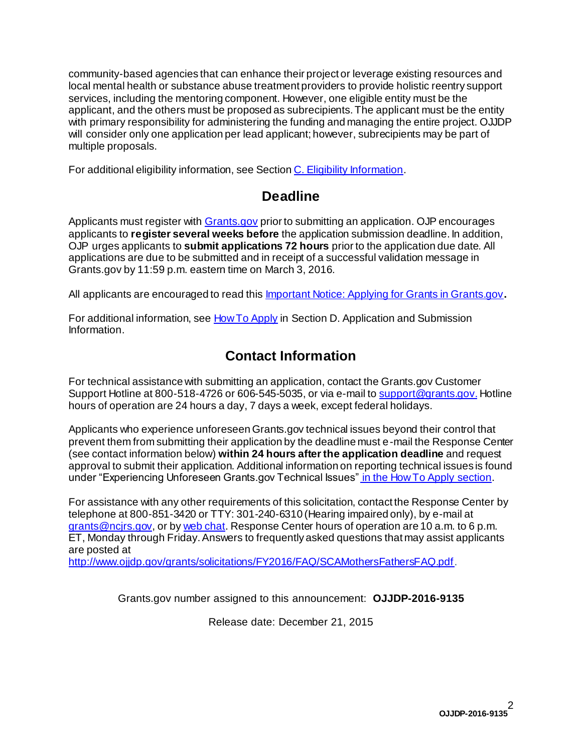community-based agencies that can enhance their project or leverage existing resources and local mental health or substance abuse treatment providers to provide holistic reentry support services, including the mentoring component. However, one eligible entity must be the applicant, and the others must be proposed as subrecipients.The applicant must be the entity with primary responsibility for administering the funding and managing the entire project. OJJDP will consider only one application per lead applicant; however, subrecipients may be part of multiple proposals.

For additional eligibility information, see Sectio[n C. Eligibility Information](#page-11-0).

# **Deadline**

Applicants must register with [Grants.gov](http://www.grants.gov/applicants/apply_for_grants.jsp) prior to submitting an application. OJP encourages applicants to **register several weeks before** the application submission deadline. In addition, OJP urges applicants to **submit applications 72 hours** prior to the application due date. All applications are due to be submitted and in receipt of a successful validation message in Grants.gov by 11:59 p.m. eastern time on March 3, 2016*.*

All applicants are encouraged to read thi[s Important Notice: Applying for Grants in Grants.gov](http://ojp.gov/funding/Apply/Grants-govInfo.htm)**.**

For additional information, see **[How To Apply](#page-27-0)** in Section D. Application and Submission [Information](#page-12-0).

# **Contact Information**

For technical assistance with submitting an application, contact the Grants.gov Customer Support Hotline at 800-518-4726 or 606-545-5035, or via e-mail t[o support@grants.gov](mailto:support@grants.gov). Hotline hours of operation are 24 hours a day, 7 days a week, except federal holidays.

Applicants who experience unforeseen Grants.gov technical issues beyond their control that prevent them from submitting their application by the deadline must e-mail the Response Center (see contact information below) **within 24 hours after the application deadline** and request approval to submit their application. Additional information on reporting technical issues is found under "Experiencing Unforeseen Grants.gov Technical Issues" in th[e How To Apply](#page-27-0) section.

For assistance with any other requirements of this solicitation, contact the Response Center by telephone at 800-851-3420 or TTY: 301-240-6310 (Hearing impaired only), by e-mail at [grants@ncjrs.gov](mailto:grants@ncjrs.gov), or b[y web chat.](https://webcontact.ncjrs.gov/ncjchat/chat.jsp) Response Center hours of operation are 10 a.m. to 6 p.m. ET, Monday through Friday. Answers to frequently asked questions that may assist applicants are posted at

<http://www.ojjdp.gov/grants/solicitations/FY2016/FAQ/SCAMothersFathersFAQ.pdf>.

Grants.gov number assigned to this announcement: **OJJDP-2016-9135**

Release date: December 21, 2015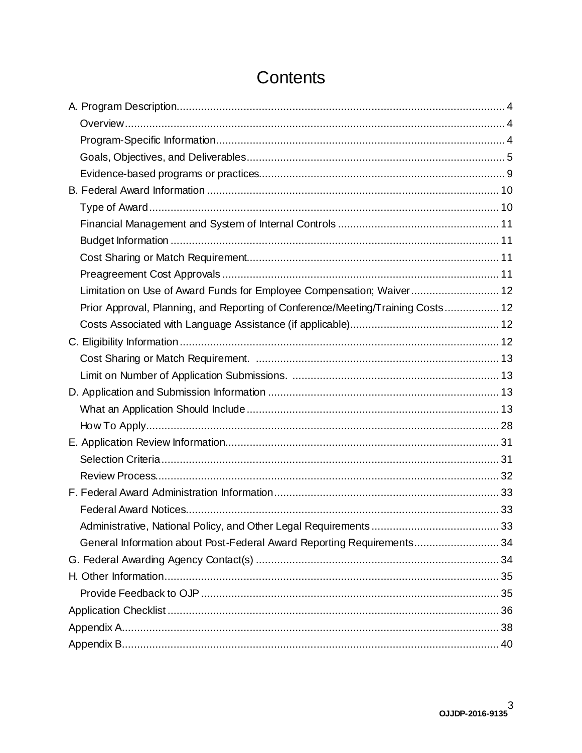| Limitation on Use of Award Funds for Employee Compensation; Waiver 12           |  |
|---------------------------------------------------------------------------------|--|
| Prior Approval, Planning, and Reporting of Conference/Meeting/Training Costs 12 |  |
|                                                                                 |  |
|                                                                                 |  |
|                                                                                 |  |
|                                                                                 |  |
|                                                                                 |  |
|                                                                                 |  |
|                                                                                 |  |
|                                                                                 |  |
|                                                                                 |  |
|                                                                                 |  |
|                                                                                 |  |
|                                                                                 |  |
|                                                                                 |  |
| General Information about Post-Federal Award Reporting Requirements34           |  |
|                                                                                 |  |
|                                                                                 |  |
|                                                                                 |  |
|                                                                                 |  |
|                                                                                 |  |
|                                                                                 |  |

# Contents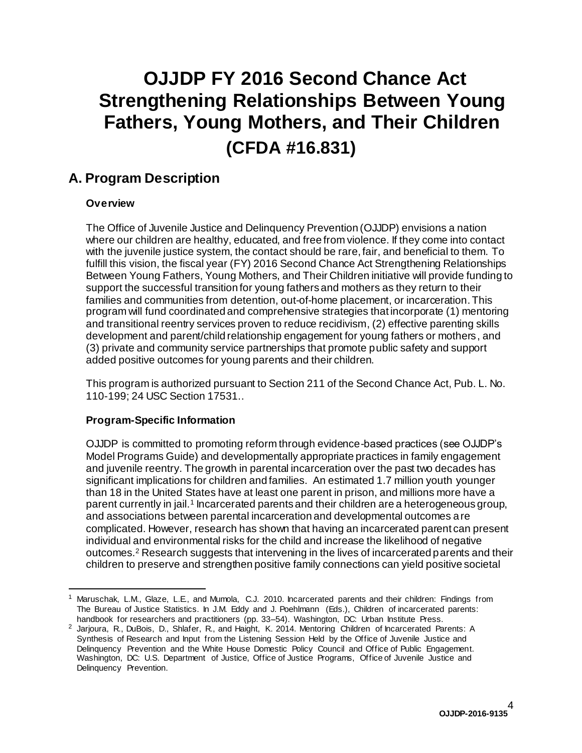# **OJJDP FY 2016 Second Chance Act Strengthening Relationships Between Young Fathers, Young Mothers, and Their Children (CFDA #16.831)**

### <span id="page-3-0"></span>**A. Program Description**

#### <span id="page-3-1"></span>**Overview**

The Office of Juvenile Justice and Delinquency Prevention (OJJDP) envisions a nation where our children are healthy, educated, and free from violence. If they come into contact with the juvenile justice system, the contact should be rare, fair, and beneficial to them. To fulfill this vision, the fiscal year (FY) 2016 Second Chance Act Strengthening Relationships Between Young Fathers, Young Mothers, and Their Children initiative will provide funding to support the successful transition for young fathers and mothers as they return to their families and communities from detention, out-of-home placement, or incarceration.This program will fund coordinated and comprehensive strategies that incorporate (1) mentoring and transitional reentry services proven to reduce recidivism, (2) effective parenting skills development and parent/child relationship engagement for young fathers or mothers, and (3) private and community service partnerships that promote public safety and support added positive outcomes for young parents and their children.

This program is authorized pursuant to Section 211 of the Second Chance Act, Pub. L. No. 110-199; 24 USC Section 17531..

#### <span id="page-3-2"></span>**Program-Specific Information**

OJJDP is committed to promoting reform through evidence-based practices (see OJJDP's Model Programs Guide) and developmentally appropriate practices in family engagement and juvenile reentry. The growth in parental incarceration over the past two decades has significant implications for children and families. An estimated 1.7 million youth younger than 18 in the United States have at least one parent in prison, and millions more have a parent currently in jail.<sup>1</sup> Incarcerated parents and their children are a heterogeneous group, and associations between parental incarceration and developmental outcomes are complicated. However, research has shown that having an incarcerated parent can present individual and environmental risks for the child and increase the likelihood of negative outcomes.<sup>2</sup> Research suggests that intervening in the lives of incarcerated parents and their children to preserve and strengthen positive family connections can yield positive societal

<sup>1</sup> Maruschak, L.M., Glaze, L.E., and Mumola, C.J. 2010. Incarcerated parents and their children: Findings from The Bureau of Justice Statistics. In J.M. Eddy and J. Poehlmann (Eds.), Children of incarcerated parents: handbook for researchers and practitioners (pp. 33-54). Washington, DC: Urban Institute Press.

<sup>&</sup>lt;sup>2</sup> Jarjoura, R., DuBois, D., Shlafer, R., and Haight, K. 2014. Mentoring Children of Incarcerated Parents: A Synthesis of Research and Input from the Listening Session Held by the Office of Juvenile Justice and Delinquency Prevention and the White House Domestic Policy Council and Office of Public Engagement. Washington, DC: U.S. Department of Justice, Office of Justice Programs, Office of Juvenile Justice and Delinquency Prevention.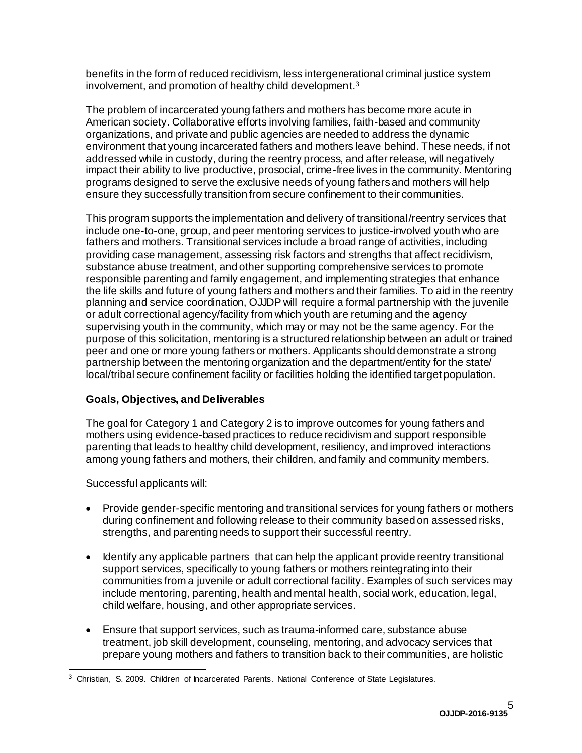benefits in the form of reduced recidivism, less intergenerational criminal justice system involvement, and promotion of healthy child development. 3

The problem of incarcerated young fathers and mothers has become more acute in American society. Collaborative efforts involving families, faith-based and community organizations, and private and public agencies are needed to address the dynamic environment that young incarcerated fathers and mothers leave behind. These needs, if not addressed while in custody, during the reentry process, and after release, will negatively impact their ability to live productive, prosocial, crime-free lives in the community. Mentoring programs designed to serve the exclusive needs of young fathers and mothers will help ensure they successfully transition from secure confinement to their communities.

This program supports the implementation and delivery of transitional/reentry services that include one-to-one, group, and peer mentoring services to justice-involved youth who are fathers and mothers. Transitional services include a broad range of activities, including providing case management, assessing risk factors and strengths that affect recidivism, substance abuse treatment, and other supporting comprehensive services to promote responsible parenting and family engagement, and implementing strategies that enhance the life skills and future of young fathers and mothers and their families. To aid in the reentry planning and service coordination, OJJDP will require a formal partnership with the juvenile or adult correctional agency/facility from which youth are returning and the agency supervising youth in the community, which may or may not be the same agency. For the purpose of this solicitation, mentoring is a structured relationship between an adult or trained peer and one or more young fathers or mothers. Applicants should demonstrate a strong partnership between the mentoring organization and the department/entity for the state/ local/tribal secure confinement facility or facilities holding the identified target population.

#### <span id="page-4-0"></span>**Goals, Objectives, and Deliverables**

The goal for Category 1 and Category 2 is to improve outcomes for young fathers and mothers using evidence-based practices to reduce recidivism and support responsible parenting that leads to healthy child development, resiliency, and improved interactions among young fathers and mothers, their children, and family and community members.

Successful applicants will:

- Provide gender-specific mentoring and transitional services for young fathers or mothers during confinement and following release to their community based on assessed risks, strengths, and parenting needs to support their successful reentry.
- Identify any applicable partners that can help the applicant provide reentry transitional support services, specifically to young fathers or mothers reintegrating into their communities from a juvenile or adult correctional facility. Examples of such services may include mentoring, parenting, health and mental health, social work, education, legal, child welfare, housing, and other appropriate services.
- Ensure that support services, such as trauma-informed care, substance abuse treatment, job skill development, counseling, mentoring, and advocacy services that prepare young mothers and fathers to transition back to their communities, are holistic

<sup>&</sup>lt;sup>3</sup> Christian, S. 2009. Children of Incarcerated Parents. National Conference of State Legislatures.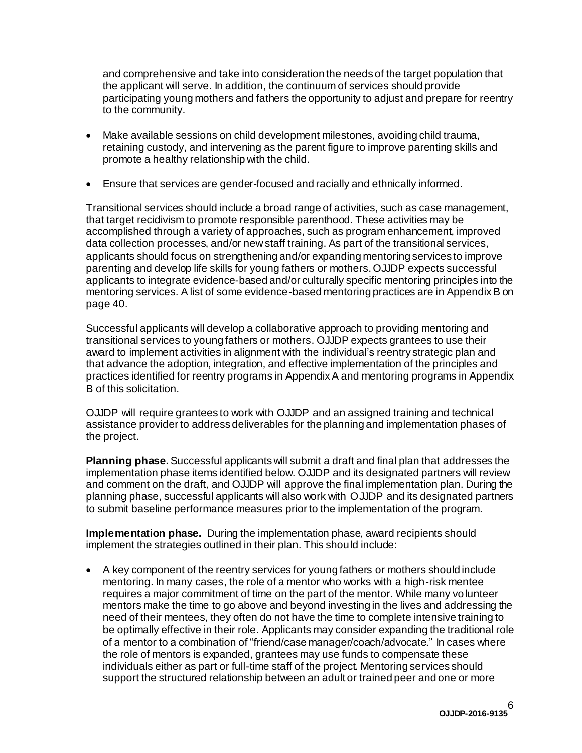and comprehensive and take into consideration the needs of the target population that the applicant will serve. In addition, the continuum of services should provide participating young mothers and fathers the opportunity to adjust and prepare for reentry to the community.

- Make available sessions on child development milestones, avoiding child trauma, retaining custody, and intervening as the parent figure to improve parenting skills and promote a healthy relationship with the child.
- Ensure that services are gender-focused and racially and ethnically informed.

Transitional services should include a broad range of activities, such as case management, that target recidivism to promote responsible parenthood. These activities may be accomplished through a variety of approaches, such as program enhancement, improved data collection processes, and/or newstaff training. As part of the transitional services, applicants should focus on strengthening and/or expanding mentoring services to improve parenting and develop life skills for young fathers or mothers.OJJDP expects successful applicants to integrate evidence-based and/or culturally specific mentoring principles into the mentoring services. A list of some evidence-based mentoring practices are in AppendixB on page 40.

Successful applicants will develop a collaborative approach to providing mentoring and transitional services to young fathers or mothers. OJJDP expects grantees to use their award to implement activities in alignment with the individual's reentry strategic plan and that advance the adoption, integration, and effective implementation of the principles and practices identified for reentry programs in AppendixA and mentoring programs in Appendix B of this solicitation.

OJJDP will require grantees to work with OJJDP and an assigned training and technical assistance provider to address deliverables for the planning and implementation phases of the project.

**Planning phase.**Successful applicantswill submit a draft and final plan that addresses the implementation phase items identified below. OJJDP and its designated partners will review and comment on the draft, and OJJDP will approve the final implementation plan. During the planning phase, successful applicants will also work with OJJDP and its designated partners to submit baseline performance measures prior to the implementation of the program.

**Implementation phase.** During the implementation phase, award recipients should implement the strategies outlined in their plan. This should include:

 A key component of the reentry services for young fathers or mothers should include mentoring. In many cases, the role of a mentor who works with a high-risk mentee requires a major commitment of time on the part of the mentor. While many volunteer mentors make the time to go above and beyond investing in the lives and addressing the need of their mentees, they often do not have the time to complete intensive training to be optimally effective in their role. Applicants may consider expanding the traditional role of a mentor to a combination of "friend/case manager/coach/advocate." In cases where the role of mentors is expanded, grantees may use funds to compensate these individuals either as part or full-time staff of the project. Mentoring services should support the structured relationship between an adult or trained peer and one or more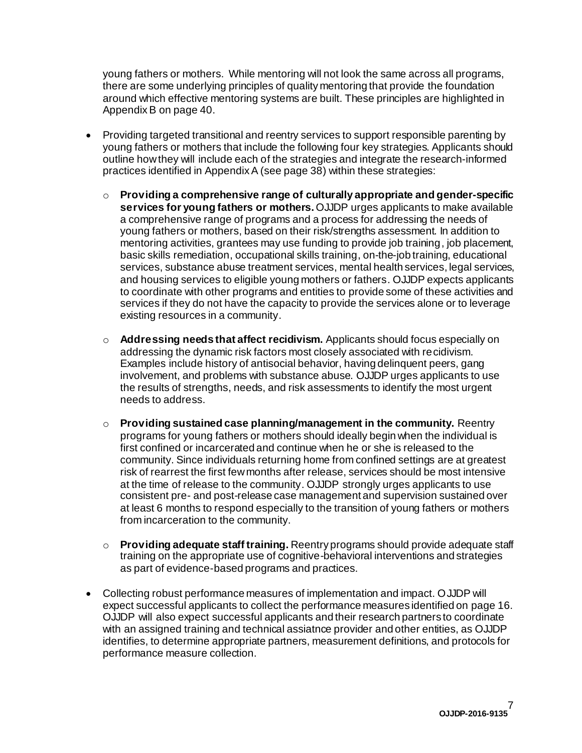young fathers or mothers. While mentoring will not look the same across all programs, there are some underlying principles of quality mentoring that provide the foundation around which effective mentoring systems are built. These principles are highlighted in AppendixB on page 40.

- Providing targeted transitional and reentry services to support responsible parenting by young fathers or mothers that include the following four key strategies. Applicants should outline howthey will include each of the strategies and integrate the research-informed practices identified in AppendixA (see page 38) within these strategies:
	- o **Providing a comprehensive range of culturally appropriate and gender-specific services for young fathers or mothers.** OJJDP urges applicants to make available a comprehensive range of programs and a process for addressing the needs of young fathers or mothers, based on their risk/strengths assessment. In addition to mentoring activities, grantees may use funding to provide job training, job placement, basic skills remediation, occupational skills training, on-the-job training, educational services, substance abuse treatment services, mental health services, legal services, and housing services to eligible young mothers or fathers. OJJDP expects applicants to coordinate with other programs and entities to provide some of these activities and services if they do not have the capacity to provide the services alone or to leverage existing resources in a community.
	- o **Addressing needs that affect recidivism.** Applicants should focus especially on addressing the dynamic risk factors most closely associated with recidivism. Examples include history of antisocial behavior, having delinquent peers, gang involvement, and problems with substance abuse. OJJDP urges applicants to use the results of strengths, needs, and risk assessments to identify the most urgent needs to address.
	- o **Providing sustained case planning/management in the community.** Reentry programs for young fathers or mothers should ideally begin when the individual is first confined or incarcerated and continue when he or she is released to the community. Since individuals returning home from confined settings are at greatest risk of rearrest the first fewmonths after release, services should be most intensive at the time of release to the community. OJJDP strongly urges applicants to use consistent pre- and post-release case management and supervision sustained over at least 6 months to respond especially to the transition of young fathers or mothers from incarceration to the community.
	- o **Providing adequate staff training.** Reentry programs should provide adequate staff training on the appropriate use of cognitive-behavioral interventions and strategies as part of evidence-based programs and practices.
- Collecting robust performance measures of implementation and impact. OJJDP will expect successful applicants to collect the performance measures identified on page 16. OJJDP will also expect successful applicants and their research partners to coordinate with an assigned training and technical assiatnce provider and other entities, as OJJDP identifies, to determine appropriate partners, measurement definitions, and protocols for performance measure collection.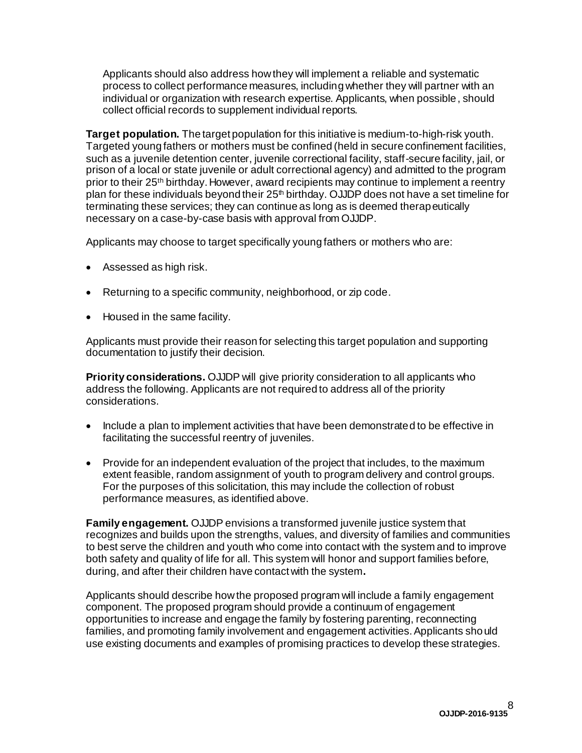Applicants should also address howthey will implement a reliable and systematic process to collect performance measures, including whether they will partner with an individual or organization with research expertise. Applicants, when possible, should collect official records to supplement individual reports.

**Target population.** The target population for this initiative is medium-to-high-risk youth. Targeted young fathers or mothers must be confined (held in secure confinement facilities, such as a juvenile detention center, juvenile correctional facility, staff-secure facility, jail, or prison of a local or state juvenile or adult correctional agency) and admitted to the program prior to their 25<sup>th</sup> birthday. However, award recipients may continue to implement a reentry plan for these individuals beyond their  $25<sup>th</sup>$  birthday. OJJDP does not have a set timeline for terminating these services; they can continue as long as is deemed therapeutically necessary on a case-by-case basis with approval from OJJDP.

Applicants may choose to target specifically young fathers or mothers who are:

- Assessed as high risk.
- Returning to a specific community, neighborhood, or zip code.
- Housed in the same facility.

Applicants must provide their reason for selecting this target population and supporting documentation to justify their decision.

**Priority considerations.** OJJDP will give priority consideration to all applicants who address the following. Applicants are not required to address all of the priority considerations.

- Include a plan to implement activities that have been demonstrated to be effective in facilitating the successful reentry of juveniles.
- Provide for an independent evaluation of the project that includes, to the maximum extent feasible, random assignment of youth to program delivery and control groups. For the purposes of this solicitation, this may include the collection of robust performance measures, as identified above.

**Family engagement.** OJJDP envisions a transformed juvenile justice system that recognizes and builds upon the strengths, values, and diversity of families and communities to best serve the children and youth who come into contact with the system and to improve both safety and quality of life for all. This system will honor and support families before, during, and after their children have contact with the system**.** 

Applicants should describe howthe proposed program will include a family engagement component. The proposed program should provide a continuum of engagement opportunities to increase and engage the family by fostering parenting, reconnecting families, and promoting family involvement and engagement activities.Applicants should use existing documents and examples of promising practices to develop these strategies.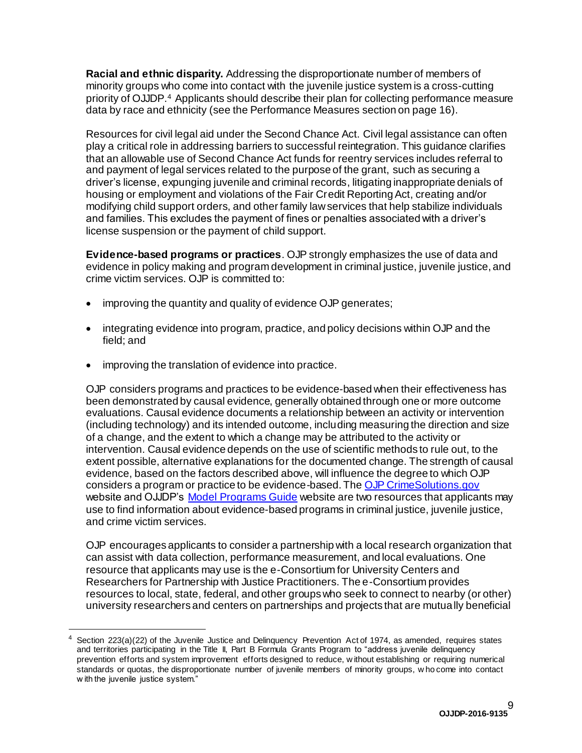**Racial and ethnic disparity.** Addressing the disproportionate number of members of minority groups who come into contact with the juvenile justice system is a cross-cutting priority of OJJDP.<sup>4</sup> Applicants should describe their plan for collecting performance measure data by race and ethnicity (see the Performance Measures section on page 16).

Resources for civil legal aid under the Second Chance Act. Civil legal assistance can often play a critical role in addressing barriers to successful reintegration. This guidance clarifies that an allowable use of Second Chance Act funds for reentry services includes referral to and payment of legal services related to the purpose of the grant, such as securing a driver's license, expunging juvenile and criminal records, litigating inappropriate denials of housing or employment and violations of the Fair Credit ReportingAct, creating and/or modifying child support orders, and other family lawservices that help stabilize individuals and families. This excludes the payment of fines or penalties associated with a driver's license suspension or the payment of child support.

<span id="page-8-0"></span>**Evidence-based programs or practices**. OJP strongly emphasizes the use of data and evidence in policy making and program development in criminal justice, juvenile justice, and crime victim services. OJP is committed to:

- improving the quantity and quality of evidence OJP generates;
- integrating evidence into program, practice, and policy decisions within OJP and the field; and
- improving the translation of evidence into practice.

OJP considers programs and practices to be evidence-based when their effectiveness has been demonstrated by causal evidence, generally obtained through one or more outcome evaluations. Causal evidence documents a relationship between an activity or intervention (including technology) and its intended outcome, including measuring the direction and size of a change, and the extent to which a change may be attributed to the activity or intervention. Causal evidence depends on the use of scientific methods to rule out, to the extent possible, alternative explanations for the documented change. The strength of causal evidence, based on the factors described above, will influence the degree to which OJP considers a program or practice to be evidence-based. Th[e OJP CrimeSolutions.gov](http://www.crimesolutions.gov/) website and OJJDP's [Model Programs](http://www.ojjdp.gov/MPG/) Guide website are two resources that applicants may use to find information about evidence-based programs in criminal justice, juvenile justice, and crime victim services.

OJP encourages applicants to consider a partnership with a local research organization that can assist with data collection, performance measurement, and local evaluations. One resource that applicants may use is the e-Consortium for University Centers and Researchers for Partnership with Justice Practitioners. The e-Consortium provides resources to local, state, federal, and other groupswho seek to connect to nearby (or other) university researchers and centers on partnerships and projects that are mutually beneficial

<sup>4</sup> Section 223(a)(22) of the Juvenile Justice and Delinquency Prevention Act of 1974, as amended, requires states and territories participating in the Title II, Part B Formula Grants Program to "address juvenile delinquency prevention efforts and system improvement efforts designed to reduce, w ithout establishing or requiring numerical standards or quotas, the disproportionate number of juvenile members of minority groups, w ho come into contact w ith the juvenile justice system."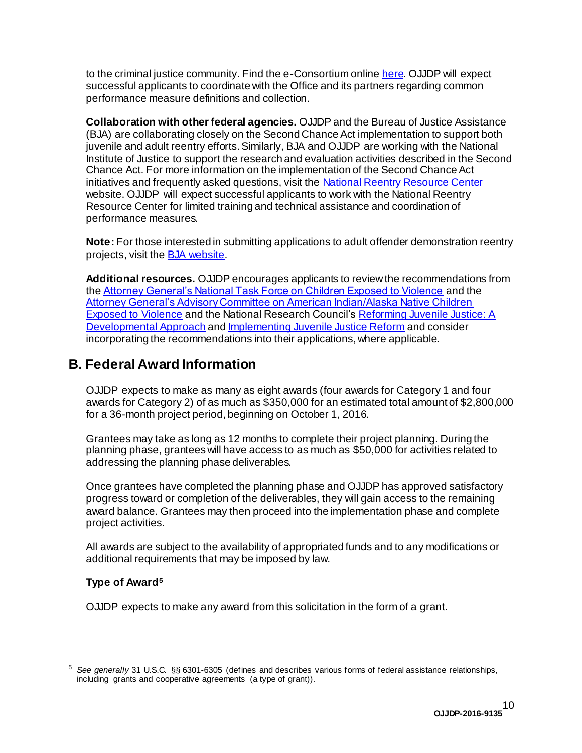to the criminal justice community. Find the e-Consortium online here. OJJDP will expect successful applicants to coordinate with the Office and its partners regarding common performance measure definitions and collection.

**Collaboration with other federal agencies.** OJJDP and the Bureau of Justice Assistance (BJA) are collaborating closely on the Second Chance Act implementation to support both juvenile and adult reentry efforts. Similarly, BJA and OJJDP are working with the National Institute of Justice to support the research and evaluation activities described in the Second Chance Act. For more information on the implementation of the Second Chance Act initiatives and frequently asked questions, visit th[e National Reentry Resource Center](https://csgjusticecenter.org/nrrc) website. OJJDP will expect successful applicants to work with the National Reentry Resource Center for limited training and technical assistance and coordination of performance measures.

**Note:** For those interested in submitting applications to adult offender demonstration reentry projects, visit th[e BJA website](https://www.bja.gov/).

**Additional resources.** OJJDP encourages applicants to review the recommendations from th[e Attorney General's National Task Force on Children Exposed to Violence](http://www.justice.gov/defendingchildhood/cev-rpt-full.pdf) and the [Attorney General's Advisory Committee on American Indian/Alaska Native Children](http://www.justice.gov/sites/default/files/defendingchildhood/pages/attachments/2014/11/18/finalaianreport.pdf)  [Exposed to Violence](http://www.justice.gov/sites/default/files/defendingchildhood/pages/attachments/2014/11/18/finalaianreport.pdf) and the National Research Council'[s Reforming Juvenile Justice: A](http://www.nap.edu/catalog.php?record_id=14685)  [Developmental Approach](http://www.nap.edu/catalog.php?record_id=14685) an[d Implementing Juvenile Justice Reform](http://sites.nationalacademies.org/dbasse/claj/implementing_juvenile_justice_reform/) and consider incorporating the recommendations into their applications, where applicable.

### <span id="page-9-0"></span>**B. Federal Award Information**

OJJDP expects to make as many as eight awards (four awards for Category 1 and four awards for Category 2) of as much as \$350,000 for an estimated total amount of \$2,800,000 for a 36-month project period, beginning on October 1, 2016.

Grantees may take as long as 12 months to complete their project planning. During the planning phase, granteeswill have access to as much as \$50,000 for activities related to addressing the planning phase deliverables.

Once grantees have completed the planning phase and OJJDP has approved satisfactory progress toward or completion of the deliverables, they will gain access to the remaining award balance. Grantees may then proceed into the implementation phase and complete project activities.

All awards are subject to the availability of appropriated funds and to any modifications or additional requirements that may be imposed by law.

#### <span id="page-9-1"></span>**Type of Award<sup>5</sup>**

<span id="page-9-2"></span>OJJDP expects to make any award from this solicitation in the form of a grant.

<sup>5</sup> *See generally* 31 U.S.C. §§ 6301-6305 (defines and describes various forms of federal assistance relationships, including grants and cooperative agreements (a type of grant)).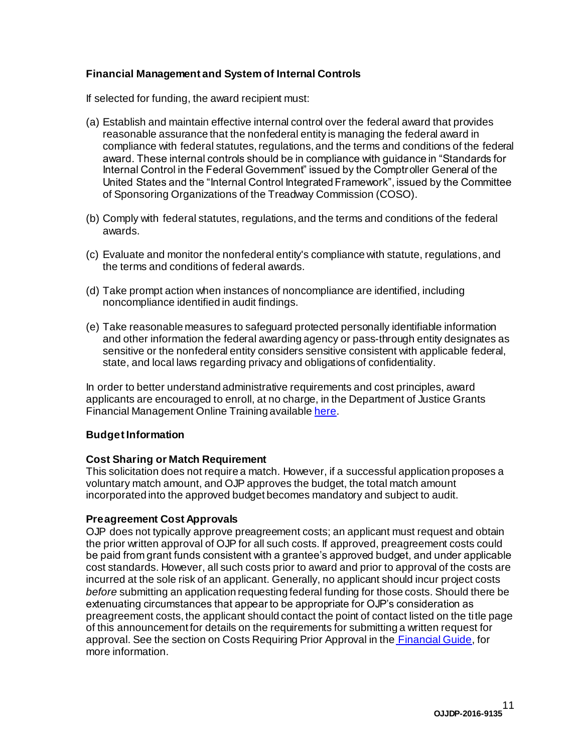#### **Financial Management and System of Internal Controls**

If selected for funding, the award recipient must:

- (a) Establish and maintain effective internal control over the federal award that provides reasonable assurance that the nonfederal entity is managing the federal award in compliance with federal statutes, regulations, and the terms and conditions of the federal award. These internal controls should be in compliance with guidance in "Standards for Internal Control in the Federal Government" issued by the Comptroller General of the United States and the "Internal Control Integrated Framework", issued by the Committee of Sponsoring Organizations of the Treadway Commission (COSO).
- (b) Comply with federal statutes, regulations, and the terms and conditions of the federal awards.
- (c) Evaluate and monitor the nonfederal entity's compliance with statute, regulations, and the terms and conditions of federal awards.
- (d) Take prompt action when instances of noncompliance are identified, including noncompliance identified in audit findings.
- (e) Take reasonable measures to safeguard protected personally identifiable information and other information the federal awarding agency or pass-through entity designates as sensitive or the nonfederal entity considers sensitive consistent with applicable federal, state, and local laws regarding privacy and obligations of confidentiality.

In order to better understand administrative requirements and cost principles, award applicants are encouraged to enroll, at no charge, in the Department of Justice Grants Financial Management Online Training available [here](http://gfm.webfirst.com/).

#### <span id="page-10-0"></span>**Budget Information**

#### <span id="page-10-1"></span>**Cost Sharing or Match Requirement**

This solicitation does not require a match. However, if a successful application proposes a voluntary match amount, and OJP approves the budget, the total match amount incorporated into the approved budget becomes mandatory and subject to audit.

#### <span id="page-10-2"></span>**Preagreement Cost Approvals**

<span id="page-10-3"></span>OJP does not typically approve preagreement costs; an applicant must request and obtain the prior written approval of OJP for all such costs. If approved, preagreement costs could be paid from grant funds consistent with a grantee's approved budget, and under applicable cost standards. However, all such costs prior to award and prior to approval of the costs are incurred at the sole risk of an applicant. Generally, no applicant should incur project costs *before* submitting an application requesting federal funding for those costs. Should there be extenuating circumstances that appear to be appropriate for OJP's consideration as preagreement costs, the applicant should contact the point of contact listed on the title page of this announcement for details on the requirements for submitting a written request for approval. See the section on Costs Requiring Prior Approval in the [Financial](http://ojp.gov/financialguide/DOJ/index.htm) Guide, for more information.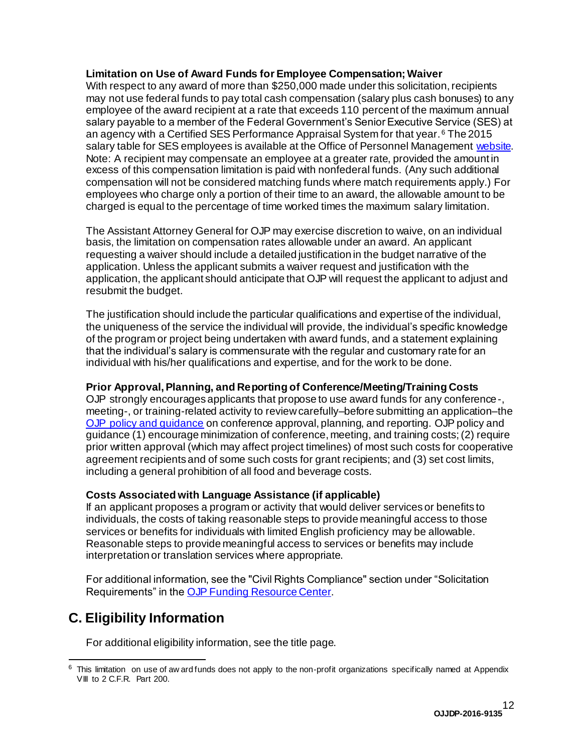#### **Limitation on Use of Award Funds for Employee Compensation; Waiver**

With respect to any award of more than \$250,000 made under this solicitation, recipients may not use federal funds to pay total cash compensation (salary plus cash bonuses) to any employee of the award recipient at a rate that exceeds 110 percent of the maximum annual salary payable to a member of the Federal Government's Senior Executive Service (SES) at an agency with a Certified SES Performance Appraisal System for that year. <sup>6</sup> The 2015 salary table for SES employees is available at the Office of Personnel Managemen[t website.](https://www.opm.gov/policy-data-oversight/pay-leave/salaries-wages/salary-tables/15Tables/exec/html/ES.aspx) Note: A recipient may compensate an employee at a greater rate, provided the amount in excess of this compensation limitation is paid with nonfederal funds. (Any such additional compensation will not be considered matching funds where match requirements apply.) For employees who charge only a portion of their time to an award, the allowable amount to be charged is equal to the percentage of time worked times the maximum salary limitation.

The Assistant Attorney General for OJP may exercise discretion to waive, on an individual basis, the limitation on compensation rates allowable under an award. An applicant requesting a waiver should include a detailed justification in the budget narrative of the application. Unless the applicant submits a waiver request and justification with the application, the applicant should anticipate that OJP will request the applicant to adjust and resubmit the budget.

The justification should include the particular qualifications and expertise of the individual, the uniqueness of the service the individual will provide, the individual's specific knowledge of the program or project being undertaken with award funds, and a statement explaining that the individual's salary is commensurate with the regular and customary rate for an individual with his/her qualifications and expertise, and for the work to be done.

#### <span id="page-11-1"></span>**Prior Approval, Planning, and Reporting of Conference/Meeting/Training Costs**

OJP strongly encourages applicants that propose to use award funds for any conference-, meeting-, or training-related activity to review carefully–before submitting an application–the [OJP policy and guidance](http://ojp.gov/financialguide/DOJ/PostawardRequirements/chapter3.10a.htm) on conference approval, planning, and reporting. OJP policy and guidance (1) encourage minimization of conference, meeting, and training costs;(2) require prior written approval (which may affect project timelines) of most such costs for cooperative agreement recipients and of some such costs for grant recipients; and (3) set cost limits, including a general prohibition of all food and beverage costs.

#### <span id="page-11-2"></span>**Costs Associated with Language Assistance (if applicable)**

If an applicant proposes a program or activity that would deliver services or benefits to individuals, the costs of taking reasonable steps to provide meaningful access to those services or benefits for individuals with limited English proficiency may be allowable. Reasonable steps to provide meaningful access to services or benefits may include interpretation or translation services where appropriate.

For additional information, see the "Civil Rights Compliance" section under "Solicitation Requirements" in th[e OJP Funding Resource Center](http://ojp.gov/funding/index.htm).

# <span id="page-11-0"></span>**C. Eligibility Information**

For additional eligibility information, see the title page.

 $6$  This limitation on use of aw ard funds does not apply to the non-profit organizations specifically named at Appendix VIII to 2 C.F.R. Part 200.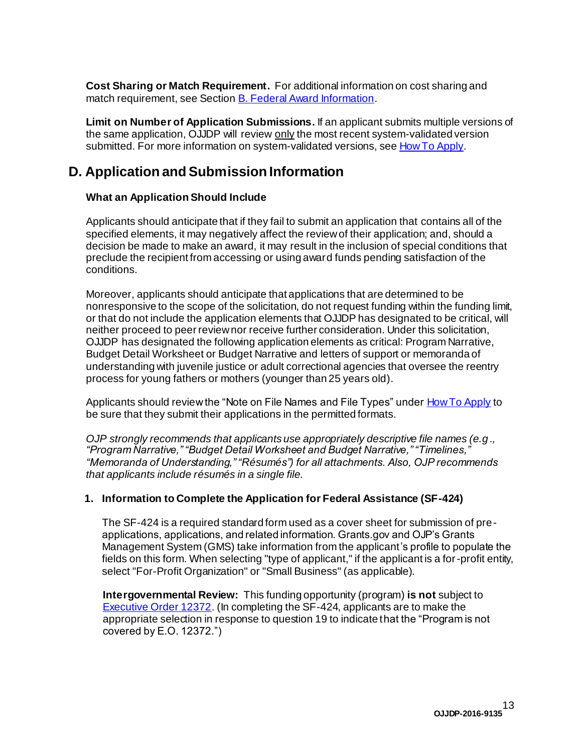<span id="page-12-1"></span>**Cost Sharing or Match Requirement.** For additional information on cost sharing and match requirement, see Section **B. Federal Award [Information](#page-9-0)**.

<span id="page-12-2"></span>**Limit on Number of Application Submissions.** If an applicant submits multiple versions of the same application, OJJDP will review only the most recent system-validated version submitted. For more information on system-validated versions, see [HowTo](#page-27-0) Apply.

# <span id="page-12-0"></span>**D. Application andSubmission Information**

### <span id="page-12-3"></span>**What an Application Should Include**

Applicants should anticipate that if they fail to submit an application that contains all of the specified elements, it may negatively affect the reviewof their application; and, should a decision be made to make an award, it may result in the inclusion of special conditions that preclude the recipient from accessing or using award funds pending satisfaction of the conditions.

Moreover, applicants should anticipate that applications that are determined to be nonresponsive to the scope of the solicitation, do not request funding within the funding limit, or that do not include the application elements that OJJDP has designated to be critical, will neither proceed to peer reviewnor receive further consideration. Under this solicitation, OJJDP has designated the following application elements as critical: Program Narrative, Budget Detail Worksheet or Budget Narrative and letters of support or memoranda of understanding with juvenile justice or adult correctional agencies that oversee the reentry process for young fathers or mothers (younger than 25 years old).

Applicants should review the "Note on File Names and File Types" under How To Apply to be sure that they submit their applications in the permitted formats.

*OJP strongly recommends that applicants use appropriately descriptive file names (e.g*.*, "Program Narrative," "Budget Detail Worksheet and Budget Narrative," "Timelines," "Memoranda of Understanding," "Résumés") for all attachments. Also, OJP recommends that applicants include résumés in a single file.*

#### **1. Information to Complete the Application for Federal Assistance (SF-424)**

The SF-424 is a required standard form used as a cover sheet for submission of preapplications, applications, and related information. Grants.gov and OJP's Grants Management System (GMS) take information from the applicant's profile to populate the fields on this form. When selecting "type of applicant," if the applicant is a for-profit entity, select "For-Profit Organization" or "Small Business" (as applicable).

 covered by E.O. 12372.")**Intergovernmental Review:** This funding opportunity (program) **is not** subject to [Executive](http://www.archives.gov/federal-register/codification/executive-order/12372.html) Order 12372. (In completing the SF-424, applicants are to make the appropriate selection in response to question 19 to indicate that the "Program is not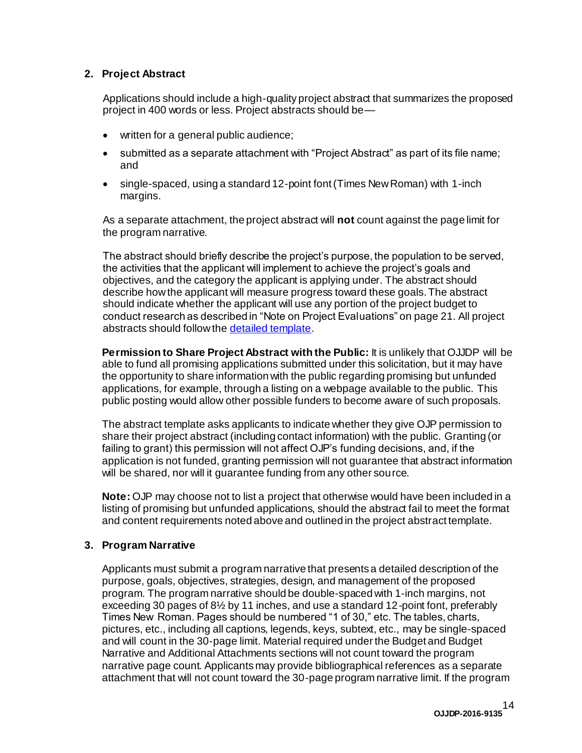#### **2. Project Abstract**

Applications should include a high-quality project abstract that summarizes the proposed project in 400 words or less. Project abstracts should be—

- written for a general public audience;
- submitted as a separate attachment with "Project Abstract" as part of its file name; and
- single-spaced, using a standard 12-point font (Times New Roman) with 1-inch margins.

As a separate attachment, the project abstract will **not** count against the page limit for the program narrative.

The abstract should briefly describe the project's purpose, the population to be served, the activities that the applicant will implement to achieve the project's goals and objectives, and the category the applicant is applying under. The abstract should describe how the applicant will measure progress toward these goals. The abstract should indicate whether the applicant will use any portion of the project budget to conduct research as described in "Note on Project Evaluations" on page 21. All project abstracts should follow th[e detailed template](http://ojp.gov/funding/Apply/Resources/ProjectAbstractTemplate.pdf).

**Permission to Share Project Abstract with the Public:** It is unlikely that OJJDP will be able to fund all promising applications submitted under this solicitation, but it may have the opportunity to share information with the public regarding promising but unfunded applications, for example, through a listing on a webpage available to the public. This public posting would allow other possible funders to become aware of such proposals.

The abstract template asks applicants to indicate whether they give OJP permission to share their project abstract (including contact information) with the public. Granting (or failing to grant) this permission will not affect OJP's funding decisions, and, if the application is not funded, granting permission will not guarantee that abstract information will be shared, nor will it quarantee funding from any other source.

**Note:** OJP may choose not to list a project that otherwise would have been included in a listing of promising but unfunded applications, should the abstract fail to meet the format and content requirements noted above and outlined in the project abstract template.

#### **3. Program Narrative**

Applicants must submit a program narrative that presents a detailed description of the purpose, goals, objectives, strategies, design, and management of the proposed program. The program narrative should be double-spaced with 1-inch margins, not exceeding 30 pages of 8½ by 11 inches, and use a standard 12-point font, preferably Times New Roman. Pages should be numbered "1 of 30," etc. The tables, charts, pictures, etc., including all captions, legends, keys, subtext, etc., may be single-spaced and will count in the 30-page limit. Material required under the Budget and Budget Narrative and Additional Attachments sections will not count toward the program narrative page count. Applicants may provide bibliographical references as a separate attachment that will not count toward the 30-page program narrative limit. If the program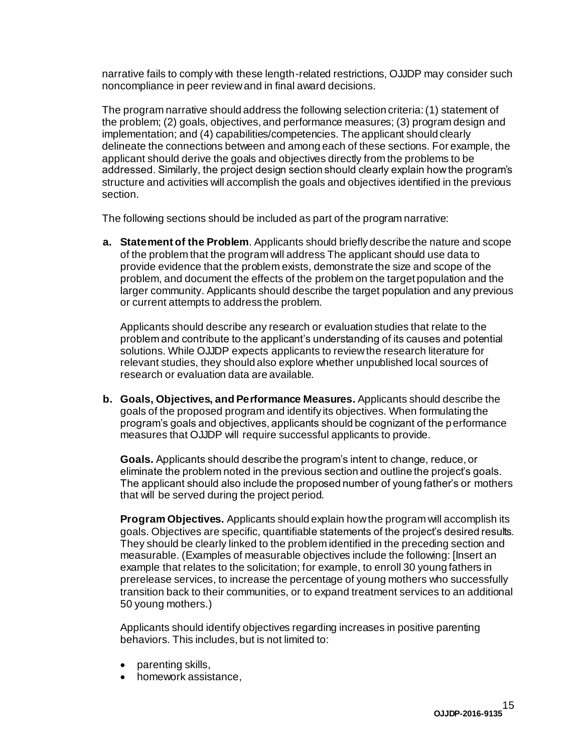narrative fails to comply with these length-related restrictions, OJJDP may consider such noncompliance in peer reviewand in final award decisions.

The program narrative should address the following selection criteria:(1) statement of the problem; (2) goals, objectives, and performance measures; (3) program design and implementation; and (4) capabilities/competencies. The applicant should clearly delineate the connections between and among each of these sections. For example, the applicant should derive the goals and objectives directly from the problems to be addressed. Similarly, the project design section should clearly explain howthe program's structure and activities will accomplish the goals and objectives identified in the previous section.

The following sections should be included as part of the program narrative:

**a. Statement of the Problem**. Applicants should briefly describe the nature and scope of the problem that the program will address The applicant should use data to provide evidence that the problem exists, demonstrate the size and scope of the problem, and document the effects of the problem on the target population and the larger community. Applicants should describe the target population and any previous or current attempts to address the problem.

Applicants should describe any research or evaluation studies that relate to the problem and contribute to the applicant's understanding of its causes and potential solutions. While OJJDP expects applicants to reviewthe research literature for relevant studies, they should also explore whether unpublished local sources of research or evaluation data are available.

**b. Goals, Objectives, and Performance Measures.** Applicants should describe the goals of the proposed program and identify its objectives. When formulating the program's goals and objectives, applicants should be cognizant of the performance measures that OJJDP will require successful applicants to provide.

**Goals.** Applicants should describe the program's intent to change, reduce, or eliminate the problem noted in the previous section and outline the project's goals. The applicant should also include the proposed number of young father's or mothers that will be served during the project period.

**Program Objectives.** Applicants should explain howthe program will accomplish its goals. Objectives are specific, quantifiable statements of the project's desired results. They should be clearly linked to the problem identified in the preceding section and measurable. (Examples of measurable objectives include the following: [Insert an example that relates to the solicitation; for example, to enroll 30 young fathers in prerelease services, to increase the percentage of young mothers who successfully transition back to their communities, or to expand treatment services to an additional 50 young mothers.)

Applicants should identify objectives regarding increases in positive parenting behaviors. This includes, but is not limited to:

- parenting skills,
- homework assistance,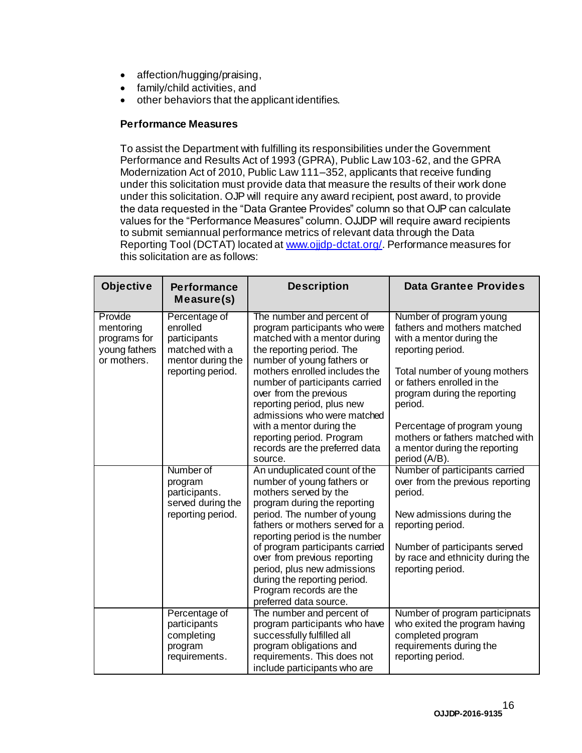- affection/hugging/praising,
- family/child activities, and
- other behaviors that the applicant identifies.

#### **Performance Measures**

To assist the Department with fulfilling its responsibilities under the Government Performance and Results Act of 1993 (GPRA), Public Law103-62, and the GPRA Modernization Act of 2010, Public Law 111–352, applicants that receive funding under this solicitation must provide data that measure the results of their work done under this solicitation. OJP will require any award recipient, post award, to provide the data requested in the "Data Grantee Provides" column so that OJP can calculate values for the "Performance Measures" column. OJJDP will require award recipients to submit semiannual performance metrics of relevant data through the Data Reporting Tool (DCTAT) located at [www.ojjdp-dctat.org/](http://www.ojjdp-dctat.org/). Performance measures for this solicitation are as follows:

| Objective                                                            | <b>Performance</b><br>Measure(s)                                                                      | <b>Description</b>                                                                                                                                                                                                                                                                                                                                                                                                    | <b>Data Grantee Provides</b>                                                                                                                                                                                                                                                                                                          |
|----------------------------------------------------------------------|-------------------------------------------------------------------------------------------------------|-----------------------------------------------------------------------------------------------------------------------------------------------------------------------------------------------------------------------------------------------------------------------------------------------------------------------------------------------------------------------------------------------------------------------|---------------------------------------------------------------------------------------------------------------------------------------------------------------------------------------------------------------------------------------------------------------------------------------------------------------------------------------|
| Provide<br>mentoring<br>programs for<br>young fathers<br>or mothers. | Percentage of<br>enrolled<br>participants<br>matched with a<br>mentor during the<br>reporting period. | The number and percent of<br>program participants who were<br>matched with a mentor during<br>the reporting period. The<br>number of young fathers or<br>mothers enrolled includes the<br>number of participants carried<br>over from the previous<br>reporting period, plus new<br>admissions who were matched<br>with a mentor during the<br>reporting period. Program<br>records are the preferred data<br>source. | Number of program young<br>fathers and mothers matched<br>with a mentor during the<br>reporting period.<br>Total number of young mothers<br>or fathers enrolled in the<br>program during the reporting<br>period.<br>Percentage of program young<br>mothers or fathers matched with<br>a mentor during the reporting<br>period (A/B). |
|                                                                      | Number of<br>program<br>participants.<br>served during the<br>reporting period.                       | An unduplicated count of the<br>number of young fathers or<br>mothers served by the<br>program during the reporting<br>period. The number of young<br>fathers or mothers served for a<br>reporting period is the number<br>of program participants carried<br>over from previous reporting<br>period, plus new admissions<br>during the reporting period.<br>Program records are the<br>preferred data source.        | Number of participants carried<br>over from the previous reporting<br>period.<br>New admissions during the<br>reporting period.<br>Number of participants served<br>by race and ethnicity during the<br>reporting period.                                                                                                             |
|                                                                      | Percentage of<br>participants<br>completing<br>program<br>requirements.                               | The number and percent of<br>program participants who have<br>successfully fulfilled all<br>program obligations and<br>requirements. This does not<br>include participants who are                                                                                                                                                                                                                                    | Number of program participnats<br>who exited the program having<br>completed program<br>requirements during the<br>reporting period.                                                                                                                                                                                                  |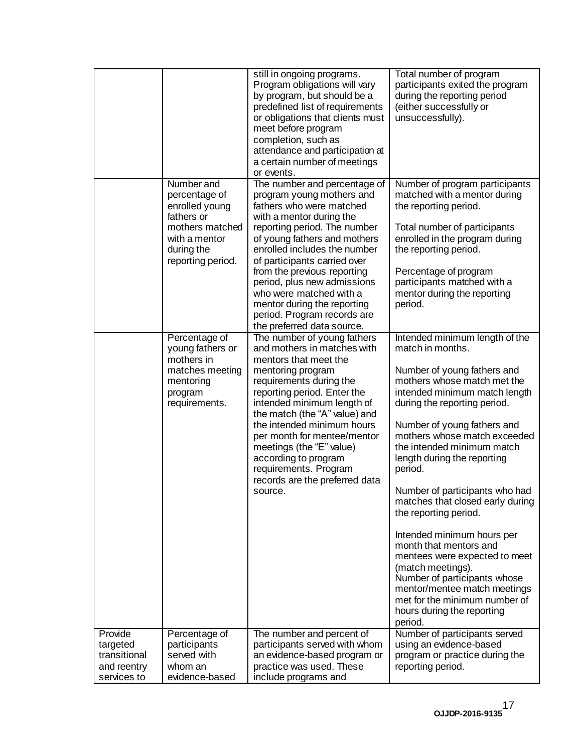|                                                                   |                                                                                                             | still in ongoing programs.<br>Program obligations will vary<br>by program, but should be a<br>predefined list of requirements<br>or obligations that clients must<br>meet before program<br>completion, such as<br>attendance and participation at<br>a certain number of meetings<br>or events.                                                                                                                         | Total number of program<br>participants exited the program<br>during the reporting period<br>(either successfully or<br>unsuccessfully).                                                                                                                                                                                                                                                                                                                                                                                                                              |
|-------------------------------------------------------------------|-------------------------------------------------------------------------------------------------------------|--------------------------------------------------------------------------------------------------------------------------------------------------------------------------------------------------------------------------------------------------------------------------------------------------------------------------------------------------------------------------------------------------------------------------|-----------------------------------------------------------------------------------------------------------------------------------------------------------------------------------------------------------------------------------------------------------------------------------------------------------------------------------------------------------------------------------------------------------------------------------------------------------------------------------------------------------------------------------------------------------------------|
|                                                                   | Number and<br>percentage of<br>enrolled young<br>fathers or<br>mothers matched<br>with a mentor             | The number and percentage of<br>program young mothers and<br>fathers who were matched<br>with a mentor during the<br>reporting period. The number<br>of young fathers and mothers                                                                                                                                                                                                                                        | Number of program participants<br>matched with a mentor during<br>the reporting period.<br>Total number of participants<br>enrolled in the program during                                                                                                                                                                                                                                                                                                                                                                                                             |
|                                                                   | during the<br>reporting period.                                                                             | enrolled includes the number<br>of participants carried over<br>from the previous reporting<br>period, plus new admissions<br>who were matched with a<br>mentor during the reporting<br>period. Program records are<br>the preferred data source.                                                                                                                                                                        | the reporting period.<br>Percentage of program<br>participants matched with a<br>mentor during the reporting<br>period.                                                                                                                                                                                                                                                                                                                                                                                                                                               |
|                                                                   | Percentage of<br>young fathers or<br>mothers in<br>matches meeting<br>mentoring<br>program<br>requirements. | The number of young fathers<br>and mothers in matches with<br>mentors that meet the<br>mentoring program<br>requirements during the<br>reporting period. Enter the<br>intended minimum length of<br>the match (the "A" value) and<br>the intended minimum hours<br>per month for mentee/mentor<br>meetings (the "E" value)<br>according to program<br>requirements. Program<br>records are the preferred data<br>source. | Intended minimum length of the<br>match in months.<br>Number of young fathers and<br>mothers whose match met the<br>intended minimum match length<br>during the reporting period.<br>Number of young fathers and<br>mothers whose match exceeded<br>the intended minimum match<br>length during the reporting<br>period.<br>Number of participants who had<br>matches that closed early during<br>the reporting period.<br>Intended minimum hours per<br>month that mentors and<br>mentees were expected to meet<br>(match meetings).<br>Number of participants whose |
|                                                                   |                                                                                                             |                                                                                                                                                                                                                                                                                                                                                                                                                          | mentor/mentee match meetings<br>met for the minimum number of<br>hours during the reporting<br>period.                                                                                                                                                                                                                                                                                                                                                                                                                                                                |
| Provide<br>targeted<br>transitional<br>and reentry<br>services to | Percentage of<br>participants<br>served with<br>whom an<br>evidence-based                                   | The number and percent of<br>participants served with whom<br>an evidence-based program or<br>practice was used. These<br>include programs and                                                                                                                                                                                                                                                                           | Number of participants served<br>using an evidence-based<br>program or practice during the<br>reporting period.                                                                                                                                                                                                                                                                                                                                                                                                                                                       |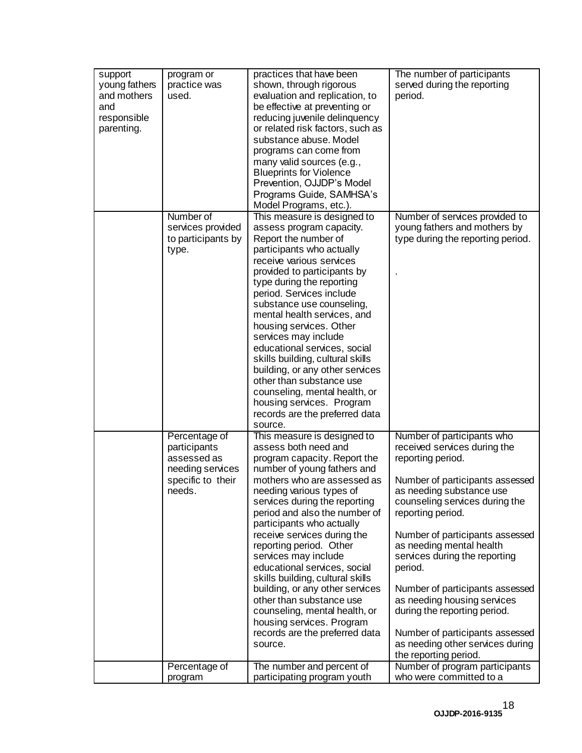| support<br>young fathers<br>and mothers<br>and<br>responsible<br>parenting. | program or<br>practice was<br>used.                                                             | practices that have been<br>shown, through rigorous<br>evaluation and replication, to<br>be effective at preventing or<br>reducing juvenile delinquency<br>or related risk factors, such as<br>substance abuse. Model<br>programs can come from<br>many valid sources (e.g.,<br><b>Blueprints for Violence</b><br>Prevention, OJJDP's Model<br>Programs Guide, SAMHSA's<br>Model Programs, etc.).                                                                                                                                                                                                            | The number of participants<br>served during the reporting<br>period.                                                                                                                                                                                                                                                                                                                                                                                                                                               |
|-----------------------------------------------------------------------------|-------------------------------------------------------------------------------------------------|--------------------------------------------------------------------------------------------------------------------------------------------------------------------------------------------------------------------------------------------------------------------------------------------------------------------------------------------------------------------------------------------------------------------------------------------------------------------------------------------------------------------------------------------------------------------------------------------------------------|--------------------------------------------------------------------------------------------------------------------------------------------------------------------------------------------------------------------------------------------------------------------------------------------------------------------------------------------------------------------------------------------------------------------------------------------------------------------------------------------------------------------|
|                                                                             | Number of<br>services provided<br>to participants by<br>type.                                   | This measure is designed to<br>assess program capacity.<br>Report the number of<br>participants who actually<br>receive various services<br>provided to participants by<br>type during the reporting<br>period. Services include<br>substance use counseling,<br>mental health services, and<br>housing services. Other<br>services may include<br>educational services, social<br>skills building, cultural skills<br>building, or any other services<br>other than substance use<br>counseling, mental health, or<br>housing services. Program<br>records are the preferred data<br>source.                | Number of services provided to<br>young fathers and mothers by<br>type during the reporting period.                                                                                                                                                                                                                                                                                                                                                                                                                |
|                                                                             | Percentage of<br>participants<br>assessed as<br>needing services<br>specific to their<br>needs. | This measure is designed to<br>assess both need and<br>program capacity. Report the<br>number of young fathers and<br>mothers who are assessed as<br>needing various types of<br>services during the reporting<br>period and also the number of<br>participants who actually<br>receive services during the<br>reporting period. Other<br>services may include<br>educational services, social<br>skills building, cultural skills<br>building, or any other services<br>other than substance use<br>counseling, mental health, or<br>housing services. Program<br>records are the preferred data<br>source. | Number of participants who<br>received services during the<br>reporting period.<br>Number of participants assessed<br>as needing substance use<br>counseling services during the<br>reporting period.<br>Number of participants assessed<br>as needing mental health<br>services during the reporting<br>period.<br>Number of participants assessed<br>as needing housing services<br>during the reporting period.<br>Number of participants assessed<br>as needing other services during<br>the reporting period. |
|                                                                             | Percentage of<br>program                                                                        | The number and percent of<br>participating program youth                                                                                                                                                                                                                                                                                                                                                                                                                                                                                                                                                     | Number of program participants<br>who were committed to a                                                                                                                                                                                                                                                                                                                                                                                                                                                          |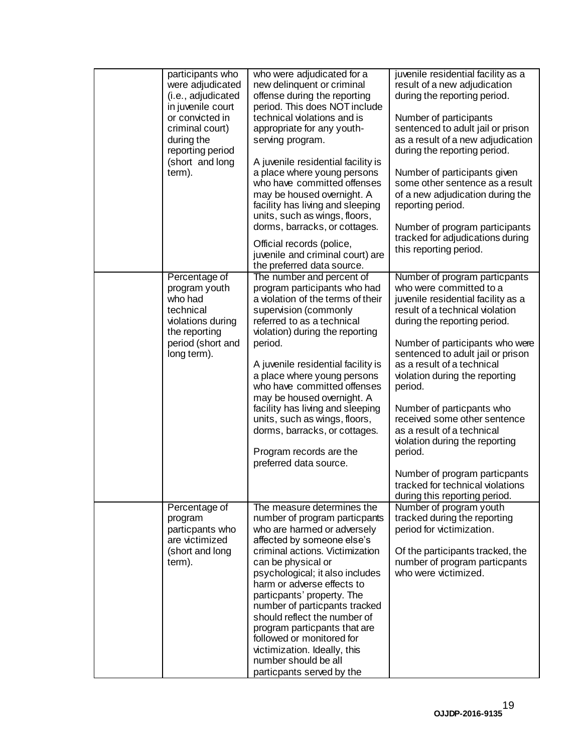| participants who<br>were adjudicated<br>(i.e., adjudicated<br>in juvenile court<br>or convicted in<br>criminal court)<br>during the<br>reporting period<br>(short and long<br>term). | who were adjudicated for a<br>new delinquent or criminal<br>offense during the reporting<br>period. This does NOT include<br>technical violations and is<br>appropriate for any youth-<br>serving program.<br>A juvenile residential facility is<br>a place where young persons<br>who have committed offenses<br>may be housed overnight. A<br>facility has living and sleeping<br>units, such as wings, floors,<br>dorms, barracks, or cottages.<br>Official records (police,<br>juvenile and criminal court) are<br>the preferred data source. | juvenile residential facility as a<br>result of a new adjudication<br>during the reporting period.<br>Number of participants<br>sentenced to adult jail or prison<br>as a result of a new adjudication<br>during the reporting period.<br>Number of participants given<br>some other sentence as a result<br>of a new adjudication during the<br>reporting period.<br>Number of program participants<br>tracked for adjudications during<br>this reporting period.                                                                                                 |
|--------------------------------------------------------------------------------------------------------------------------------------------------------------------------------------|---------------------------------------------------------------------------------------------------------------------------------------------------------------------------------------------------------------------------------------------------------------------------------------------------------------------------------------------------------------------------------------------------------------------------------------------------------------------------------------------------------------------------------------------------|--------------------------------------------------------------------------------------------------------------------------------------------------------------------------------------------------------------------------------------------------------------------------------------------------------------------------------------------------------------------------------------------------------------------------------------------------------------------------------------------------------------------------------------------------------------------|
| Percentage of<br>program youth<br>who had<br>technical<br>violations during<br>the reporting<br>period (short and<br>long term).                                                     | The number and percent of<br>program participants who had<br>a violation of the terms of their<br>supervision (commonly<br>referred to as a technical<br>violation) during the reporting<br>period.<br>A juvenile residential facility is<br>a place where young persons<br>who have committed offenses<br>may be housed overnight. A<br>facility has living and sleeping<br>units, such as wings, floors,<br>dorms, barracks, or cottages.<br>Program records are the<br>preferred data source.                                                  | Number of program particpants<br>who were committed to a<br>juvenile residential facility as a<br>result of a technical violation<br>during the reporting period.<br>Number of participants who were<br>sentenced to adult jail or prison<br>as a result of a technical<br>violation during the reporting<br>period.<br>Number of particpants who<br>received some other sentence<br>as a result of a technical<br>violation during the reporting<br>period.<br>Number of program particpants<br>tracked for technical violations<br>during this reporting period. |
| Percentage of<br>program<br>particpants who<br>are victimized<br>(short and long<br>term).                                                                                           | The measure determines the<br>number of program particpants<br>who are harmed or adversely<br>affected by someone else's<br>criminal actions. Victimization<br>can be physical or<br>psychological; it also includes<br>harm or adverse effects to<br>particpants' property. The<br>number of particpants tracked<br>should reflect the number of<br>program particpants that are<br>followed or monitored for<br>victimization. Ideally, this<br>number should be all<br>particpants served by the                                               | Number of program youth<br>tracked during the reporting<br>period for victimization.<br>Of the participants tracked, the<br>number of program particpants<br>who were victimized.                                                                                                                                                                                                                                                                                                                                                                                  |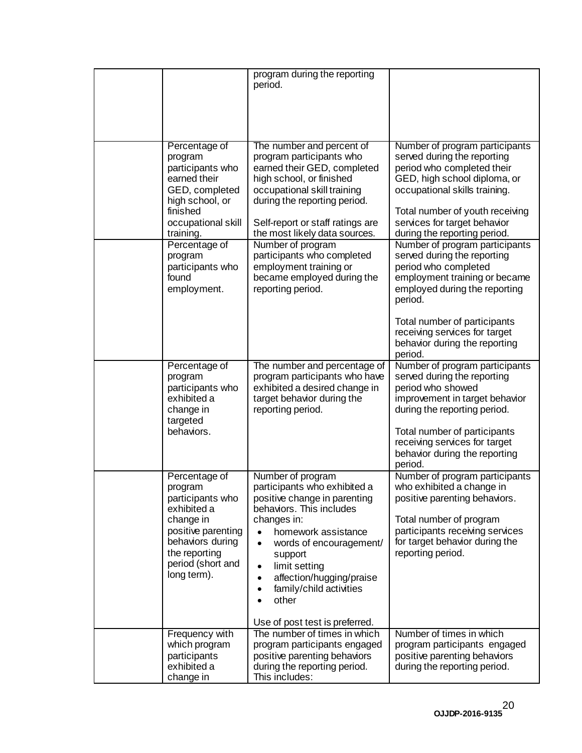|                                                                                                                                                                         | program during the reporting<br>period.                                                                                                                                                                                                                                                                                                                                            |                                                                                                                                                                                                                                                                              |
|-------------------------------------------------------------------------------------------------------------------------------------------------------------------------|------------------------------------------------------------------------------------------------------------------------------------------------------------------------------------------------------------------------------------------------------------------------------------------------------------------------------------------------------------------------------------|------------------------------------------------------------------------------------------------------------------------------------------------------------------------------------------------------------------------------------------------------------------------------|
|                                                                                                                                                                         |                                                                                                                                                                                                                                                                                                                                                                                    |                                                                                                                                                                                                                                                                              |
| Percentage of<br>program<br>participants who<br>earned their<br>GED, completed<br>high school, or<br>finished<br>occupational skill<br>training.                        | The number and percent of<br>program participants who<br>earned their GED, completed<br>high school, or finished<br>occupational skill training<br>during the reporting period.<br>Self-report or staff ratings are<br>the most likely data sources.                                                                                                                               | Number of program participants<br>served during the reporting<br>period who completed their<br>GED, high school diploma, or<br>occupational skills training.<br>Total number of youth receiving<br>services for target behavior<br>during the reporting period.              |
| Percentage of<br>program<br>participants who<br>found<br>employment.                                                                                                    | Number of program<br>participants who completed<br>employment training or<br>became employed during the<br>reporting period.                                                                                                                                                                                                                                                       | Number of program participants<br>served during the reporting<br>period who completed<br>employment training or became<br>employed during the reporting<br>period.<br>Total number of participants<br>receiving services for target<br>behavior during the reporting         |
| Percentage of<br>program<br>participants who<br>exhibited a<br>change in<br>targeted<br>behaviors.                                                                      | The number and percentage of<br>program participants who have<br>exhibited a desired change in<br>target behavior during the<br>reporting period.                                                                                                                                                                                                                                  | period.<br>Number of program participants<br>served during the reporting<br>period who showed<br>improvement in target behavior<br>during the reporting period.<br>Total number of participants<br>receiving services for target<br>behavior during the reporting<br>period. |
| Percentage of<br>program<br>participants who<br>exhibited a<br>change in<br>positive parenting<br>behaviors during<br>the reporting<br>period (short and<br>long term). | Number of program<br>participants who exhibited a<br>positive change in parenting<br>behaviors. This includes<br>changes in:<br>homework assistance<br>$\bullet$<br>words of encouragement/<br>$\bullet$<br>support<br>limit setting<br>$\bullet$<br>affection/hugging/praise<br>٠<br>family/child activities<br>$\bullet$<br>other<br>$\bullet$<br>Use of post test is preferred. | Number of program participants<br>who exhibited a change in<br>positive parenting behaviors.<br>Total number of program<br>participants receiving services<br>for target behavior during the<br>reporting period.                                                            |
| Frequency with<br>which program<br>participants<br>exhibited a<br>change in                                                                                             | The number of times in which<br>program participants engaged<br>positive parenting behaviors<br>during the reporting period.<br>This includes:                                                                                                                                                                                                                                     | Number of times in which<br>program participants engaged<br>positive parenting behaviors<br>during the reporting period.                                                                                                                                                     |